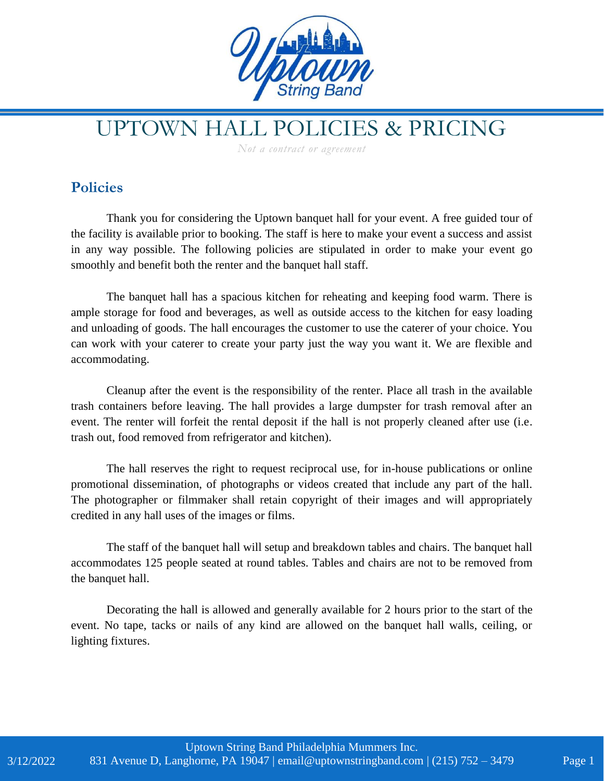

## UPTOWN HALL POLICIES & PRICING

*Not a contract or agreement*

## **Policies**

Thank you for considering the Uptown banquet hall for your event. A free guided tour of the facility is available prior to booking. The staff is here to make your event a success and assist in any way possible. The following policies are stipulated in order to make your event go smoothly and benefit both the renter and the banquet hall staff.

The banquet hall has a spacious kitchen for reheating and keeping food warm. There is ample storage for food and beverages, as well as outside access to the kitchen for easy loading and unloading of goods. The hall encourages the customer to use the caterer of your choice. You can work with your caterer to create your party just the way you want it. We are flexible and accommodating.

Cleanup after the event is the responsibility of the renter. Place all trash in the available trash containers before leaving. The hall provides a large dumpster for trash removal after an event. The renter will forfeit the rental deposit if the hall is not properly cleaned after use (i.e. trash out, food removed from refrigerator and kitchen).

The hall reserves the right to request reciprocal use, for in-house publications or online promotional dissemination, of photographs or videos created that include any part of the hall. The photographer or filmmaker shall retain copyright of their images and will appropriately credited in any hall uses of the images or films.

The staff of the banquet hall will setup and breakdown tables and chairs. The banquet hall accommodates 125 people seated at round tables. Tables and chairs are not to be removed from the banquet hall.

Decorating the hall is allowed and generally available for 2 hours prior to the start of the event. No tape, tacks or nails of any kind are allowed on the banquet hall walls, ceiling, or lighting fixtures.